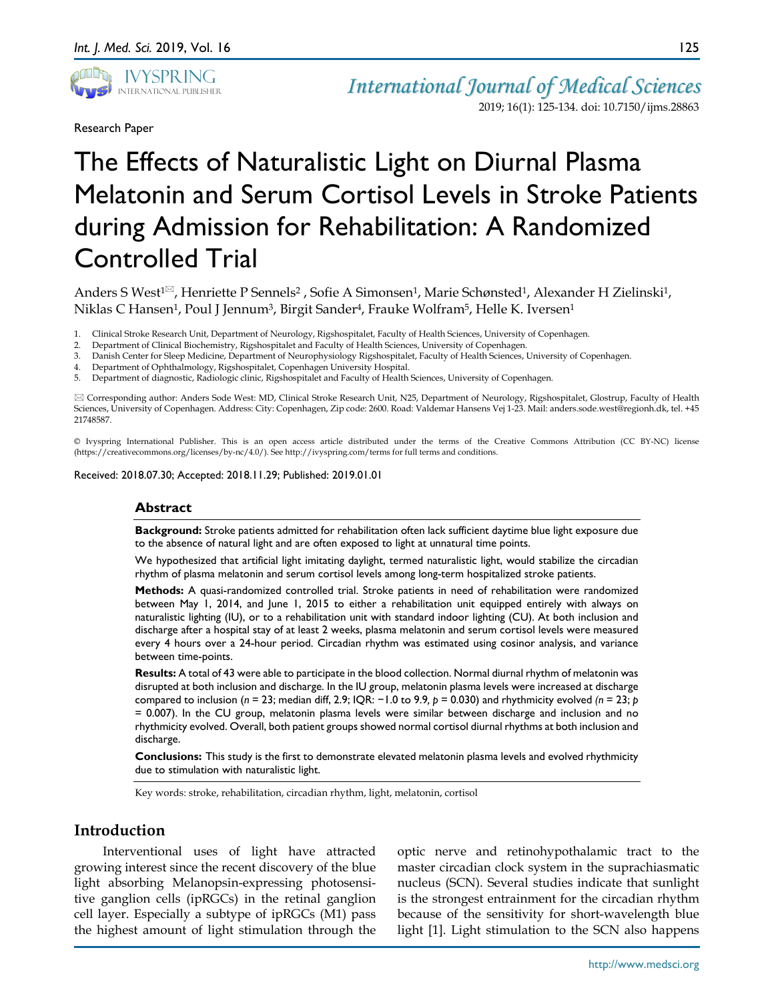

Research Paper

*International Journal of Medical Sciences* 2019; 16(1): 125-134. doi: 10.7150/ijms.28863

# The Effects of Naturalistic Light on Diurnal Plasma Melatonin and Serum Cortisol Levels in Stroke Patients during Admission for Rehabilitation: A Randomized Controlled Trial

Anders S West<sup>1<sup> $\boxtimes$ </sup>, Henriette P Sennels<sup>2</sup>, Sofie A Simonsen<sup>1</sup>, Marie Schønsted<sup>1</sup>, Alexander H Zielinski<sup>1</sup>,</sup> Niklas C Hansen<sup>1</sup>, Poul J Jennum<sup>3</sup>, Birgit Sander<sup>4</sup>, Frauke Wolfram<sup>5</sup>, Helle K. Iversen<sup>1</sup>

- 1. Clinical Stroke Research Unit, Department of Neurology, Rigshospitalet, Faculty of Health Sciences, University of Copenhagen.
- 2. Department of Clinical Biochemistry, Rigshospitalet and Faculty of Health Sciences, University of Copenhagen.
- 3. Danish Center for Sleep Medicine, Department of Neurophysiology Rigshospitalet, Faculty of Health Sciences, University of Copenhagen.
- 4. Department of Ophthalmology, Rigshospitalet, Copenhagen University Hospital.

5. Department of diagnostic, Radiologic clinic, Rigshospitalet and Faculty of Health Sciences, University of Copenhagen.

 Corresponding author: Anders Sode West: MD, Clinical Stroke Research Unit, N25, Department of Neurology, Rigshospitalet, Glostrup, Faculty of Health Sciences, University of Copenhagen. Address: City: Copenhagen, Zip code: 2600. Road: Valdemar Hansens Vej 1-23. Mail: anders.sode.west@regionh.dk, tel. +45 21748587.

© Ivyspring International Publisher. This is an open access article distributed under the terms of the Creative Commons Attribution (CC BY-NC) license (https://creativecommons.org/licenses/by-nc/4.0/). See http://ivyspring.com/terms for full terms and conditions.

Received: 2018.07.30; Accepted: 2018.11.29; Published: 2019.01.01

#### **Abstract**

**Background:** Stroke patients admitted for rehabilitation often lack sufficient daytime blue light exposure due to the absence of natural light and are often exposed to light at unnatural time points.

We hypothesized that artificial light imitating daylight, termed naturalistic light, would stabilize the circadian rhythm of plasma melatonin and serum cortisol levels among long-term hospitalized stroke patients.

**Methods:** A quasi-randomized controlled trial. Stroke patients in need of rehabilitation were randomized between May 1, 2014, and June 1, 2015 to either a rehabilitation unit equipped entirely with always on naturalistic lighting (IU), or to a rehabilitation unit with standard indoor lighting (CU). At both inclusion and discharge after a hospital stay of at least 2 weeks, plasma melatonin and serum cortisol levels were measured every 4 hours over a 24-hour period. Circadian rhythm was estimated using cosinor analysis, and variance between time-points.

**Results:** A total of 43 were able to participate in the blood collection. Normal diurnal rhythm of melatonin was disrupted at both inclusion and discharge. In the IU group, melatonin plasma levels were increased at discharge compared to inclusion (*n* = 23; median diff, 2.9; IQR: −1.0 to 9.9*, p* = 0.030) and rhythmicity evolved *(n* = 23; *p*  = 0.007). In the CU group, melatonin plasma levels were similar between discharge and inclusion and no rhythmicity evolved. Overall, both patient groups showed normal cortisol diurnal rhythms at both inclusion and discharge.

**Conclusions:** This study is the first to demonstrate elevated melatonin plasma levels and evolved rhythmicity due to stimulation with naturalistic light.

Key words: stroke, rehabilitation, circadian rhythm, light, melatonin, cortisol

# **Introduction**

Interventional uses of light have attracted growing interest since the recent discovery of the blue light absorbing Melanopsin-expressing photosensitive ganglion cells (ipRGCs) in the retinal ganglion cell layer. Especially a subtype of ipRGCs (M1) pass the highest amount of light stimulation through the

optic nerve and retinohypothalamic tract to the master circadian clock system in the suprachiasmatic nucleus (SCN). Several studies indicate that sunlight is the strongest entrainment for the circadian rhythm because of the sensitivity for short-wavelength blue light [1]. Light stimulation to the SCN also happens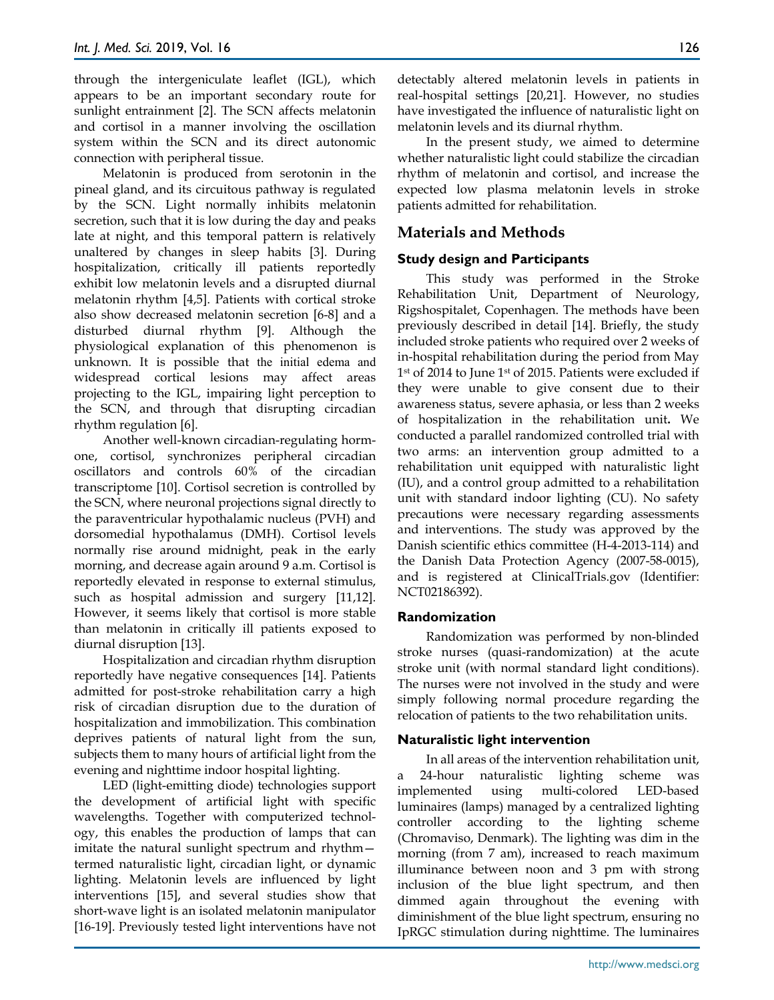through the intergeniculate leaflet (IGL), which appears to be an important secondary route for sunlight entrainment [2]. The SCN affects melatonin and cortisol in a manner involving the oscillation system within the SCN and its direct autonomic connection with peripheral tissue.

Melatonin is produced from serotonin in the pineal gland, and its circuitous pathway is regulated by the SCN. Light normally inhibits melatonin secretion, such that it is low during the day and peaks late at night, and this temporal pattern is relatively unaltered by changes in sleep habits [3]. During hospitalization, critically ill patients reportedly exhibit low melatonin levels and a disrupted diurnal melatonin rhythm [4,5]. Patients with cortical stroke also show decreased melatonin secretion [6-8] and a disturbed diurnal rhythm [9]. Although the physiological explanation of this phenomenon is unknown. It is possible that the initial edema and widespread cortical lesions may affect areas projecting to the IGL, impairing light perception to the SCN, and through that disrupting circadian rhythm regulation [6].

Another well-known circadian-regulating hormone, cortisol, synchronizes peripheral circadian oscillators and controls 60% of the circadian transcriptome [10]. Cortisol secretion is controlled by the SCN, where neuronal projections signal directly to the paraventricular hypothalamic nucleus (PVH) and dorsomedial hypothalamus (DMH). Cortisol levels normally rise around midnight, peak in the early morning, and decrease again around 9 a.m. Cortisol is reportedly elevated in response to external stimulus, such as hospital admission and surgery [11,12]. However, it seems likely that cortisol is more stable than melatonin in critically ill patients exposed to diurnal disruption [13].

Hospitalization and circadian rhythm disruption reportedly have negative consequences [14]. Patients admitted for post-stroke rehabilitation carry a high risk of circadian disruption due to the duration of hospitalization and immobilization. This combination deprives patients of natural light from the sun, subjects them to many hours of artificial light from the evening and nighttime indoor hospital lighting.

LED (light-emitting diode) technologies support the development of artificial light with specific wavelengths. Together with computerized technology, this enables the production of lamps that can imitate the natural sunlight spectrum and rhythm termed naturalistic light, circadian light, or dynamic lighting. Melatonin levels are influenced by light interventions [15], and several studies show that short-wave light is an isolated melatonin manipulator [16-19]. Previously tested light interventions have not

detectably altered melatonin levels in patients in real-hospital settings [20,21]. However, no studies have investigated the influence of naturalistic light on melatonin levels and its diurnal rhythm.

In the present study, we aimed to determine whether naturalistic light could stabilize the circadian rhythm of melatonin and cortisol, and increase the expected low plasma melatonin levels in stroke patients admitted for rehabilitation.

# **Materials and Methods**

# **Study design and Participants**

This study was performed in the Stroke Rehabilitation Unit, Department of Neurology, Rigshospitalet, Copenhagen. The methods have been previously described in detail [14]. Briefly, the study included stroke patients who required over 2 weeks of in-hospital rehabilitation during the period from May 1st of 2014 to June 1st of 2015. Patients were excluded if they were unable to give consent due to their awareness status, severe aphasia, or less than 2 weeks of hospitalization in the rehabilitation unit**.** We conducted a parallel randomized controlled trial with two arms: an intervention group admitted to a rehabilitation unit equipped with naturalistic light (IU), and a control group admitted to a rehabilitation unit with standard indoor lighting (CU). No safety precautions were necessary regarding assessments and interventions. The study was approved by the Danish scientific ethics committee (H-4-2013-114) and the Danish Data Protection Agency (2007-58-0015), and is registered at ClinicalTrials.gov (Identifier: NCT02186392).

# **Randomization**

Randomization was performed by non-blinded stroke nurses (quasi-randomization) at the acute stroke unit (with normal standard light conditions). The nurses were not involved in the study and were simply following normal procedure regarding the relocation of patients to the two rehabilitation units.

# **Naturalistic light intervention**

In all areas of the intervention rehabilitation unit, 24-hour naturalistic lighting scheme was implemented using multi-colored LED-based luminaires (lamps) managed by a centralized lighting controller according to the lighting scheme (Chromaviso, Denmark). The lighting was dim in the morning (from 7 am), increased to reach maximum illuminance between noon and 3 pm with strong inclusion of the blue light spectrum, and then dimmed again throughout the evening with diminishment of the blue light spectrum, ensuring no IpRGC stimulation during nighttime. The luminaires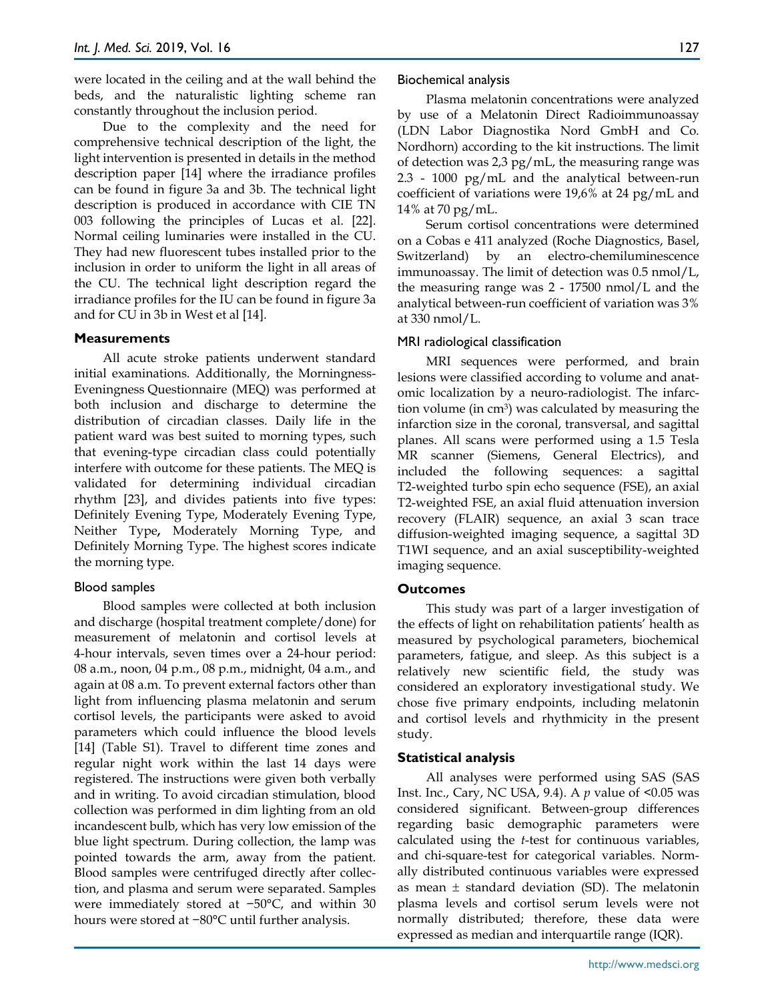were located in the ceiling and at the wall behind the beds, and the naturalistic lighting scheme ran constantly throughout the inclusion period.

Due to the complexity and the need for comprehensive technical description of the light, the light intervention is presented in details in the method description paper [14] where the irradiance profiles can be found in figure 3a and 3b. The technical light description is produced in accordance with CIE TN 003 following the principles of Lucas et al. [22]. Normal ceiling luminaries were installed in the CU. They had new fluorescent tubes installed prior to the inclusion in order to uniform the light in all areas of the CU. The technical light description regard the irradiance profiles for the IU can be found in figure 3a and for CU in 3b in West et al [14].

#### **Measurements**

All acute stroke patients underwent standard initial examinations. Additionally, the Morningness-Eveningness Questionnaire (MEQ) was performed at both inclusion and discharge to determine the distribution of circadian classes. Daily life in the patient ward was best suited to morning types, such that evening-type circadian class could potentially interfere with outcome for these patients. The MEQ is validated for determining individual circadian rhythm [23], and divides patients into five types: Definitely Evening Type, Moderately Evening Type, Neither Type**,** Moderately Morning Type, and Definitely Morning Type. The highest scores indicate the morning type.

#### Blood samples

Blood samples were collected at both inclusion and discharge (hospital treatment complete/done) for measurement of melatonin and cortisol levels at 4-hour intervals, seven times over a 24-hour period: 08 a.m., noon, 04 p.m., 08 p.m., midnight, 04 a.m., and again at 08 a.m. To prevent external factors other than light from influencing plasma melatonin and serum cortisol levels, the participants were asked to avoid parameters which could influence the blood levels [14] (Table S1). Travel to different time zones and regular night work within the last 14 days were registered. The instructions were given both verbally and in writing. To avoid circadian stimulation, blood collection was performed in dim lighting from an old incandescent bulb, which has very low emission of the blue light spectrum. During collection, the lamp was pointed towards the arm, away from the patient. Blood samples were centrifuged directly after collection, and plasma and serum were separated. Samples were immediately stored at −50°C, and within 30 hours were stored at −80°C until further analysis.

#### Biochemical analysis

Plasma melatonin concentrations were analyzed by use of a Melatonin Direct Radioimmunoassay (LDN Labor Diagnostika Nord GmbH and Co. Nordhorn) according to the kit instructions. The limit of detection was 2,3 pg/mL, the measuring range was 2.3 - 1000 pg/mL and the analytical between-run coefficient of variations were 19,6% at 24 pg/mL and 14% at 70 pg/mL.

Serum cortisol concentrations were determined on a Cobas e 411 analyzed (Roche Diagnostics, Basel, Switzerland) by an electro-chemiluminescence immunoassay. The limit of detection was 0.5 nmol/L, the measuring range was 2 - 17500 nmol/L and the analytical between-run coefficient of variation was 3% at 330 nmol/L.

#### MRI radiological classification

MRI sequences were performed, and brain lesions were classified according to volume and anatomic localization by a neuro-radiologist. The infarction volume (in cm3) was calculated by measuring the infarction size in the coronal, transversal, and sagittal planes. All scans were performed using a 1.5 Tesla MR scanner (Siemens, General Electrics), and included the following sequences: a sagittal T2-weighted turbo spin echo sequence (FSE), an axial T2-weighted FSE, an axial fluid attenuation inversion recovery (FLAIR) sequence, an axial 3 scan trace diffusion-weighted imaging sequence, a sagittal 3D T1WI sequence, and an axial susceptibility-weighted imaging sequence.

#### **Outcomes**

This study was part of a larger investigation of the effects of light on rehabilitation patients' health as measured by psychological parameters, biochemical parameters, fatigue, and sleep. As this subject is a relatively new scientific field, the study was considered an exploratory investigational study. We chose five primary endpoints, including melatonin and cortisol levels and rhythmicity in the present study.

#### **Statistical analysis**

All analyses were performed using SAS (SAS Inst. Inc., Cary, NC USA, 9.4). A *p* value of <0.05 was considered significant. Between-group differences regarding basic demographic parameters were calculated using the *t*-test for continuous variables, and chi-square-test for categorical variables. Normally distributed continuous variables were expressed as mean  $\pm$  standard deviation (SD). The melatonin plasma levels and cortisol serum levels were not normally distributed; therefore, these data were expressed as median and interquartile range (IQR).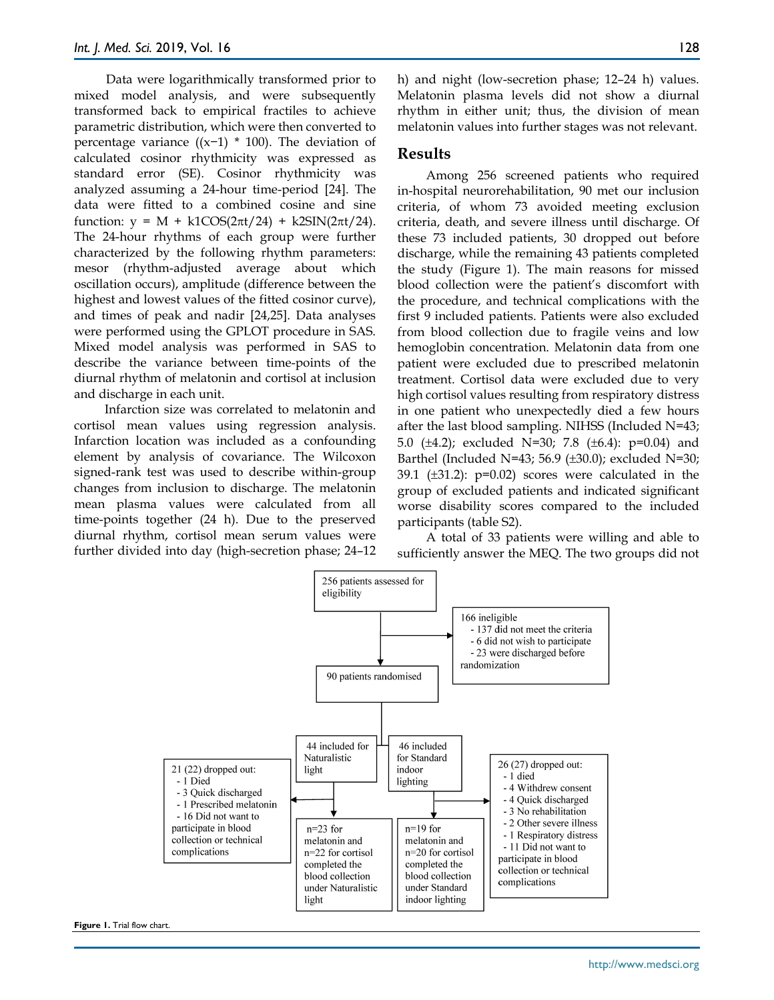Data were logarithmically transformed prior to mixed model analysis, and were subsequently transformed back to empirical fractiles to achieve parametric distribution, which were then converted to percentage variance ( $(x-1)$  \* 100). The deviation of calculated cosinor rhythmicity was expressed as standard error (SE). Cosinor rhythmicity was analyzed assuming a 24-hour time-period [24]. The data were fitted to a combined cosine and sine function: y = M + k1COS(2πt/24) + k2SIN(2πt/24). The 24-hour rhythms of each group were further characterized by the following rhythm parameters: mesor (rhythm-adjusted average about which oscillation occurs), amplitude (difference between the highest and lowest values of the fitted cosinor curve), and times of peak and nadir [24,25]. Data analyses were performed using the GPLOT procedure in SAS. Mixed model analysis was performed in SAS to describe the variance between time-points of the diurnal rhythm of melatonin and cortisol at inclusion and discharge in each unit.

Infarction size was correlated to melatonin and cortisol mean values using regression analysis. Infarction location was included as a confounding element by analysis of covariance. The Wilcoxon signed-rank test was used to describe within-group changes from inclusion to discharge. The melatonin mean plasma values were calculated from all time-points together (24 h). Due to the preserved diurnal rhythm, cortisol mean serum values were further divided into day (high-secretion phase; 24–12

h) and night (low-secretion phase; 12–24 h) values. Melatonin plasma levels did not show a diurnal rhythm in either unit; thus, the division of mean melatonin values into further stages was not relevant.

### **Results**

Among 256 screened patients who required in-hospital neurorehabilitation, 90 met our inclusion criteria, of whom 73 avoided meeting exclusion criteria, death, and severe illness until discharge. Of these 73 included patients, 30 dropped out before discharge, while the remaining 43 patients completed the study (Figure 1). The main reasons for missed blood collection were the patient's discomfort with the procedure, and technical complications with the first 9 included patients. Patients were also excluded from blood collection due to fragile veins and low hemoglobin concentration. Melatonin data from one patient were excluded due to prescribed melatonin treatment. Cortisol data were excluded due to very high cortisol values resulting from respiratory distress in one patient who unexpectedly died a few hours after the last blood sampling. NIHSS (Included N=43; 5.0 (±4.2); excluded N=30; 7.8 (±6.4): p=0.04) and Barthel (Included N=43; 56.9  $(\pm 30.0)$ ; excluded N=30; 39.1 ( $\pm$ 31.2):  $p$ =0.02) scores were calculated in the group of excluded patients and indicated significant worse disability scores compared to the included participants (table S2).

A total of 33 patients were willing and able to sufficiently answer the MEQ. The two groups did not



**Figure 1.** Trial flow chart.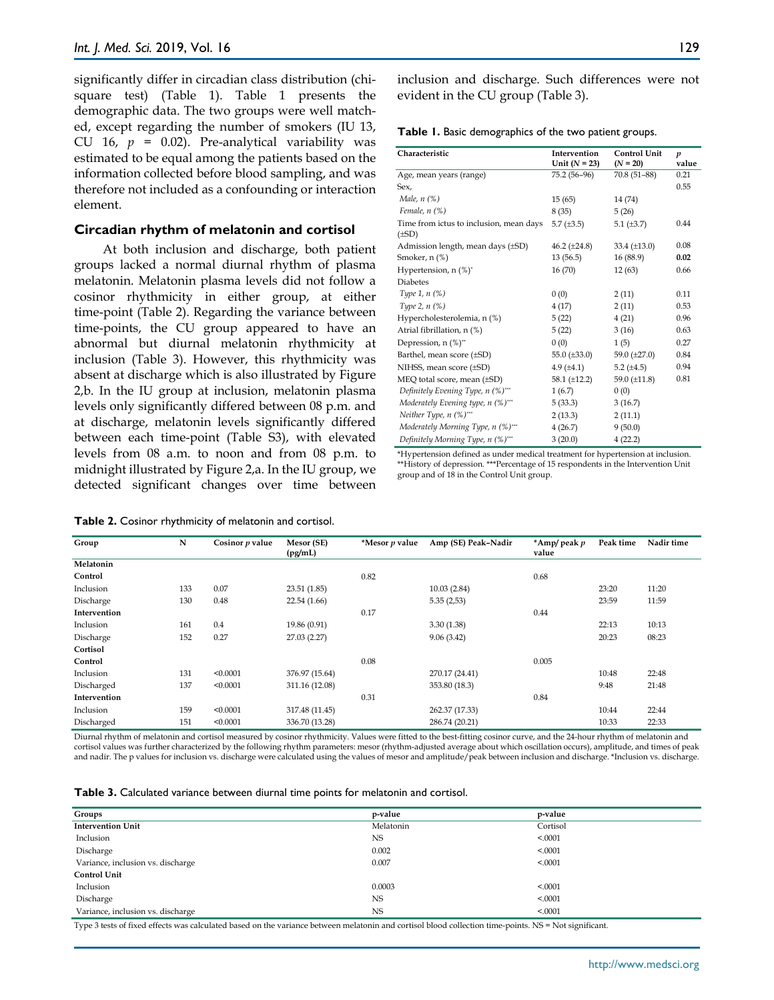significantly differ in circadian class distribution (chisquare test) (Table 1). Table 1 presents the demographic data. The two groups were well matched, except regarding the number of smokers (IU 13, CU 16, *p* = 0.02). Pre-analytical variability was estimated to be equal among the patients based on the information collected before blood sampling, and was therefore not included as a confounding or interaction element.

#### **Circadian rhythm of melatonin and cortisol**

At both inclusion and discharge, both patient groups lacked a normal diurnal rhythm of plasma melatonin. Melatonin plasma levels did not follow a cosinor rhythmicity in either group, at either time-point (Table 2). Regarding the variance between time-points, the CU group appeared to have an abnormal but diurnal melatonin rhythmicity at inclusion (Table 3). However, this rhythmicity was absent at discharge which is also illustrated by Figure 2,b. In the IU group at inclusion, melatonin plasma levels only significantly differed between 08 p.m. and at discharge, melatonin levels significantly differed between each time-point (Table S3), with elevated levels from 08 a.m. to noon and from 08 p.m. to midnight illustrated by Figure 2,a. In the IU group, we detected significant changes over time between

| evident in the CU group (Table 3).                            |
|---------------------------------------------------------------|
|                                                               |
| <b>Table 1.</b> Basic demographics of the two patient groups. |

inclusion and discharge. Such differences were not

| Characteristic                                        | <b>Intervention</b><br>Unit $(N = 23)$ | <b>Control Unit</b><br>$(N = 20)$ | p<br>value |
|-------------------------------------------------------|----------------------------------------|-----------------------------------|------------|
| Age, mean years (range)                               | 75.2 (56-96)                           | $70.8(51-88)$                     | 0.21       |
| Sex,                                                  |                                        |                                   | 0.55       |
| Male, $n$ $(\%)$                                      | 15(65)                                 | 14 (74)                           |            |
| Female, $n$ (%)                                       | 8(35)                                  | 5(26)                             |            |
| Time from ictus to inclusion, mean days<br>$(\pm SD)$ | $5.7 (\pm 3.5)$                        | 5.1 $(\pm 3.7)$                   | 0.44       |
| Admission length, mean days (±SD)                     | $46.2 (\pm 24.8)$                      | 33.4 $(\pm 13.0)$                 | 0.08       |
| Smoker, $n$ $(\%)$                                    | 13(56.5)                               | 16(88.9)                          | 0.02       |
| Hypertension, $n$ (%) <sup>*</sup>                    | 16 (70)                                | 12(63)                            | 0.66       |
| <b>Diabetes</b>                                       |                                        |                                   |            |
| Type 1, n (%)                                         | 0(0)                                   | 2(11)                             | 0.11       |
| Type 2, n (%)                                         | 4(17)                                  | 2(11)                             | 0.53       |
| Hypercholesterolemia, n (%)                           | 5(22)                                  | 4(21)                             | 0.96       |
| Atrial fibrillation, n (%)                            | 5(22)                                  | 3(16)                             | 0.63       |
| Depression, n (%)**                                   | 0(0)                                   | 1(5)                              | 0.27       |
| Barthel, mean score (±SD)                             | 55.0 $(\pm 33.0)$                      | 59.0 $(\pm 27.0)$                 | 0.84       |
| NIHSS, mean score (±SD)                               | $4.9$ ( $\pm 4.1$ )                    | 5.2 $(\pm 4.5)$                   | 0.94       |
| MEQ total score, mean (±SD)                           | 58.1 $(\pm 12.2)$                      | 59.0 $(\pm 11.8)$                 | 0.81       |
| Definitely Evening Type, n (%)***                     | 1(6.7)                                 | 0(0)                              |            |
| Moderately Evening type, n (%)***                     | 5(33.3)                                | 3(16.7)                           |            |
| Neither Type, n (%)"**                                | 2(13.3)                                | 2(11.1)                           |            |
| Moderately Morning Type, n (%)***                     | 4(26.7)                                | 9(50.0)                           |            |
| Definitely Morning Type, n (%)***                     | 3(20.0)                                | 4(22.2)                           |            |

\*Hypertension defined as under medical treatment for hypertension at inclusion. \*\*History of depression. \*\*\*Percentage of 15 respondents in the Intervention Unit group and of 18 in the Control Unit group.

| Group        | N   | Cosinor <i>p</i> value | Mesor (SE)<br>(pg/mL) | *Mesor <i>p</i> value | Amp (SE) Peak-Nadir | $*Amp/peak p$<br>value | Peak time | Nadir time |
|--------------|-----|------------------------|-----------------------|-----------------------|---------------------|------------------------|-----------|------------|
| Melatonin    |     |                        |                       |                       |                     |                        |           |            |
| Control      |     |                        |                       | 0.82                  |                     | 0.68                   |           |            |
| Inclusion    | 133 | 0.07                   | 23.51(1.85)           |                       | 10.03(2.84)         |                        | 23:20     | 11:20      |
| Discharge    | 130 | 0.48                   | 22.54(1.66)           |                       | 5.35(2,53)          |                        | 23:59     | 11:59      |
| Intervention |     |                        |                       | 0.17                  |                     | 0.44                   |           |            |
| Inclusion    | 161 | 0.4                    | 19.86 (0.91)          |                       | 3.30(1.38)          |                        | 22:13     | 10:13      |
| Discharge    | 152 | 0.27                   | 27.03 (2.27)          |                       | 9.06(3.42)          |                        | 20:23     | 08:23      |
| Cortisol     |     |                        |                       |                       |                     |                        |           |            |
| Control      |     |                        |                       | 0.08                  |                     | 0.005                  |           |            |
| Inclusion    | 131 | < 0.0001               | 376.97 (15.64)        |                       | 270.17 (24.41)      |                        | 10:48     | 22:48      |
| Discharged   | 137 | < 0.0001               | 311.16 (12.08)        |                       | 353.80 (18.3)       |                        | 9:48      | 21:48      |
| Intervention |     |                        |                       | 0.31                  |                     | 0.84                   |           |            |
| Inclusion    | 159 | < 0.0001               | 317.48 (11.45)        |                       | 262.37 (17.33)      |                        | 10:44     | 22:44      |
| Discharged   | 151 | < 0.0001               | 336.70 (13.28)        |                       | 286.74 (20.21)      |                        | 10:33     | 22:33      |

Diurnal rhythm of melatonin and cortisol measured by cosinor rhythmicity. Values were fitted to the best-fitting cosinor curve, and the 24-hour rhythm of melatonin and cortisol values was further characterized by the following rhythm parameters: mesor (rhythm-adjusted average about which oscillation occurs), amplitude, and times of peak and nadir. The p values for inclusion vs. discharge were calculated using the values of mesor and amplitude/peak between inclusion and discharge. \*Inclusion vs. discharge.

| Groups                            | p-value   | p-value  |
|-----------------------------------|-----------|----------|
| <b>Intervention Unit</b>          | Melatonin | Cortisol |
| Inclusion                         | <b>NS</b> | < 0.0001 |
| Discharge                         | 0.002     | < 0.0001 |
| Variance, inclusion vs. discharge | 0.007     | < 0.0001 |
| <b>Control Unit</b>               |           |          |
| Inclusion                         | 0.0003    | < 0.0001 |
| Discharge                         | <b>NS</b> | < 0.0001 |
| Variance, inclusion vs. discharge | <b>NS</b> | < 0.0001 |

Type 3 tests of fixed effects was calculated based on the variance between melatonin and cortisol blood collection time-points. NS = Not significant.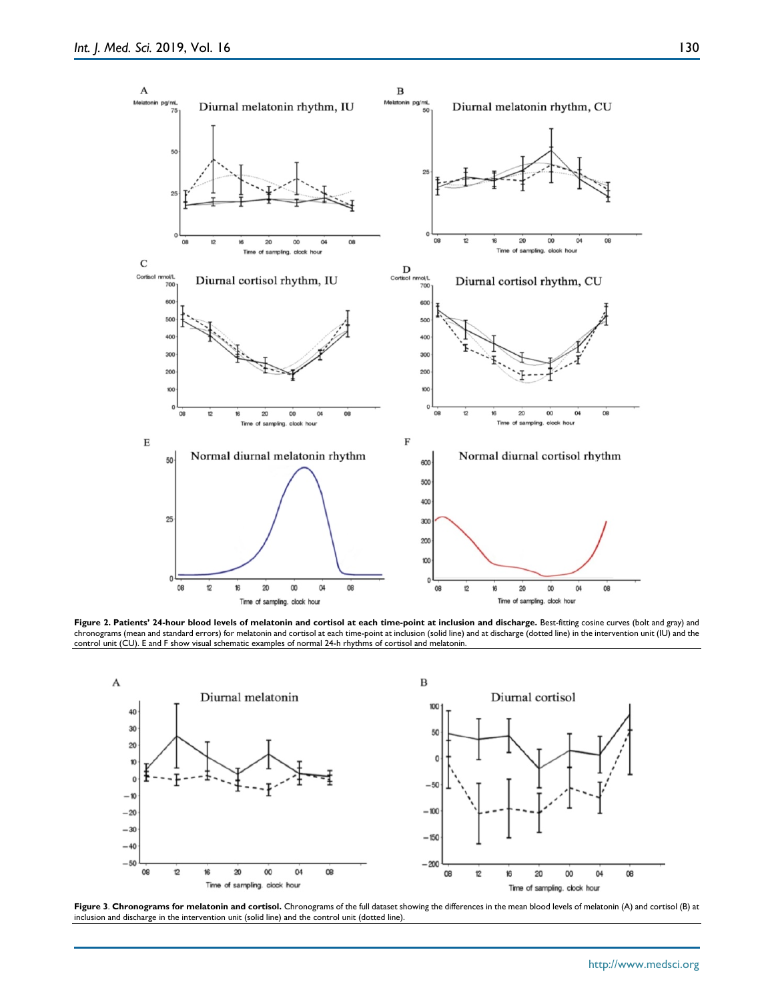

**Figure 2. Patients' 24-hour blood levels of melatonin and cortisol at each time-point at inclusion and discharge.** Best-fitting cosine curves (bolt and gray) and chronograms (mean and standard errors) for melatonin and cortisol at each time-point at inclusion (solid line) and at discharge (dotted line) in the intervention unit (IU) and the control unit (CU). E and F show visual schematic examples of normal 24-h rhythms of cortisol and melatonin.



Figure 3. Chronograms for melatonin and cortisol. Chronograms of the full dataset showing the differences in the mean blood levels of melatonin (A) and cortisol (B) at inclusion and discharge in the intervention unit (solid line) and the control unit (dotted line).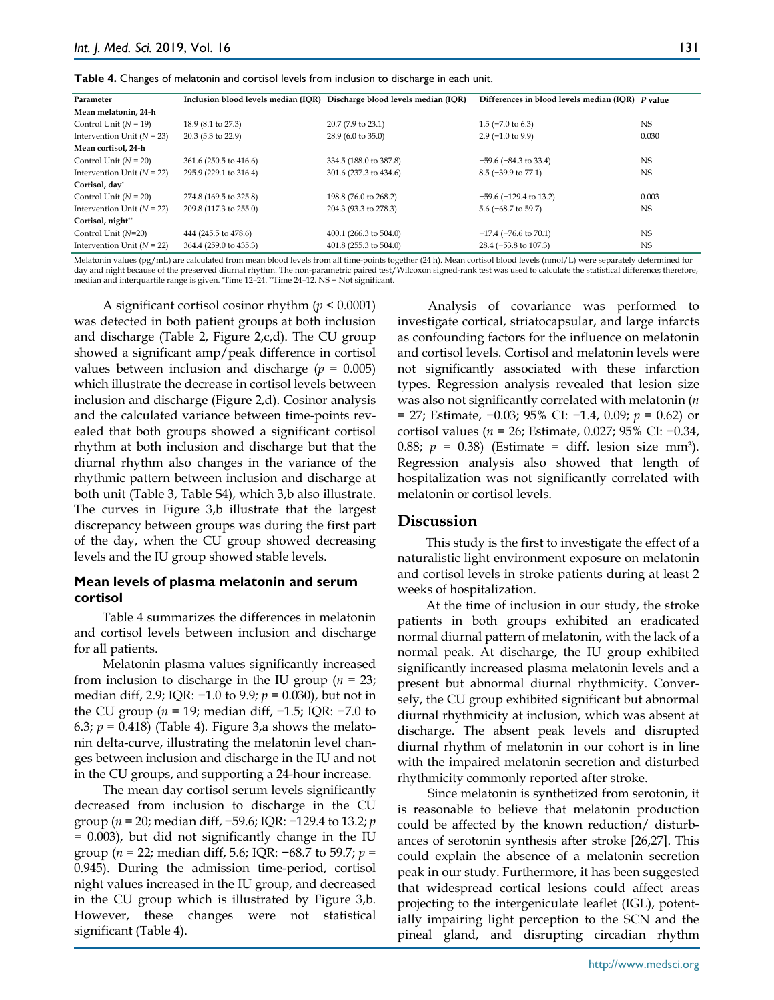| Table 4. Changes of melatonin and cortisol levels from inclusion to discharge in each unit. |  |  |  |
|---------------------------------------------------------------------------------------------|--|--|--|
|---------------------------------------------------------------------------------------------|--|--|--|

| Parameter                      | Inclusion blood levels median (IOR) | Discharge blood levels median (IOR) | Differences in blood levels median (IOR) P value |                |
|--------------------------------|-------------------------------------|-------------------------------------|--------------------------------------------------|----------------|
| Mean melatonin, 24-h           |                                     |                                     |                                                  |                |
| Control Unit $(N = 19)$        | 18.9 (8.1 to 27.3)                  | 20.7 (7.9 to 23.1)                  | $1.5$ ( $-7.0$ to 6.3)                           | <b>NS</b>      |
| Intervention Unit $(N = 23)$   | 20.3 (5.3 to 22.9)                  | $28.9(6.0 \text{ to } 35.0)$        | $2.9$ (-1.0 to 9.9)                              | 0.030          |
| Mean cortisol, 24-h            |                                     |                                     |                                                  |                |
| Control Unit $(N = 20)$        | 361.6 (250.5 to 416.6)              | 334.5 (188.0 to 387.8)              | $-59.6$ ( $-84.3$ to 33.4)                       | <b>NS</b>      |
| Intervention Unit $(N = 22)$   | 295.9 (229.1 to 316.4)              | 301.6 (237.3 to 434.6)              | $8.5$ (-39.9 to 77.1)                            | <b>NS</b>      |
| Cortisol, day'                 |                                     |                                     |                                                  |                |
| Control Unit ( $N = 20$ )      | 274.8 (169.5 to 325.8)              | 198.8 (76.0 to 268.2)               | $-59.6$ ( $-129.4$ to 13.2)                      | 0.003          |
| Intervention Unit $(N = 22)$   | 209.8 (117.3 to 255.0)              | 204.3 (93.3 to 278.3)               | $5.6$ (-68.7 to 59.7)                            | <b>NS</b>      |
| Cortisol, night**              |                                     |                                     |                                                  |                |
| Control Unit $(N=20)$          | 444 (245.5 to 478.6)                | 400.1 (266.3 to 504.0)              | $-17.4$ ( $-76.6$ to $70.1$ )                    | N <sub>S</sub> |
| Intervention Unit ( $N = 22$ ) | 364.4 (259.0 to 435.3)              | 401.8 (255.3 to 504.0)              | $28.4 (-53.8 \text{ to } 107.3)$                 | <b>NS</b>      |

Melatonin values (pg/mL) are calculated from mean blood levels from all time-points together (24 h). Mean cortisol blood levels (nmol/L) were separately determined for day and night because of the preserved diurnal rhythm. The non-parametric paired test/Wilcoxon signed-rank test was used to calculate the statistical difference; therefore, median and interquartile range is given. \*Time 12–24. \*\*Time 24–12. NS = Not significant.

A significant cortisol cosinor rhythm (*p* < 0.0001) was detected in both patient groups at both inclusion and discharge (Table 2, Figure 2,c,d). The CU group showed a significant amp/peak difference in cortisol values between inclusion and discharge (*p* = 0.005) which illustrate the decrease in cortisol levels between inclusion and discharge (Figure 2,d). Cosinor analysis and the calculated variance between time-points revealed that both groups showed a significant cortisol rhythm at both inclusion and discharge but that the diurnal rhythm also changes in the variance of the rhythmic pattern between inclusion and discharge at both unit (Table 3, Table S4), which 3,b also illustrate. The curves in Figure 3,b illustrate that the largest discrepancy between groups was during the first part of the day, when the CU group showed decreasing levels and the IU group showed stable levels.

#### **Mean levels of plasma melatonin and serum cortisol**

Table 4 summarizes the differences in melatonin and cortisol levels between inclusion and discharge for all patients.

Melatonin plasma values significantly increased from inclusion to discharge in the IU group (*n* = 23; median diff, 2.9; IQR: −1.0 to 9.9*; p* = 0.030), but not in the CU group (*n* = 19; median diff, *−*1.5; IQR: −7.0 to 6.3;  $p = 0.418$ ) (Table 4). Figure 3,a shows the melatonin delta-curve, illustrating the melatonin level changes between inclusion and discharge in the IU and not in the CU groups, and supporting a 24-hour increase.

The mean day cortisol serum levels significantly decreased from inclusion to discharge in the CU group (*n* = 20; median diff, −59.6; IQR: −129.4 to 13.2; *p*  = 0.003), but did not significantly change in the IU group (*n* = 22; median diff, 5.6; IQR: −68.7 to 59.7; *p* = 0.945). During the admission time-period, cortisol night values increased in the IU group, and decreased in the CU group which is illustrated by Figure 3,b. However, these changes were not statistical significant (Table 4).

Analysis of covariance was performed to investigate cortical, striatocapsular, and large infarcts as confounding factors for the influence on melatonin and cortisol levels. Cortisol and melatonin levels were not significantly associated with these infarction types. Regression analysis revealed that lesion size was also not significantly correlated with melatonin (*n* = 27; Estimate, −0.03; 95% CI: −1.4, 0.09; *p* = 0.62) or cortisol values (*n* = 26; Estimate, 0.027; 95% CI: −0.34, 0.88;  $p = 0.38$ ) (Estimate = diff. lesion size mm<sup>3</sup>). Regression analysis also showed that length of hospitalization was not significantly correlated with melatonin or cortisol levels.

#### **Discussion**

This study is the first to investigate the effect of a naturalistic light environment exposure on melatonin and cortisol levels in stroke patients during at least 2 weeks of hospitalization.

At the time of inclusion in our study, the stroke patients in both groups exhibited an eradicated normal diurnal pattern of melatonin, with the lack of a normal peak. At discharge, the IU group exhibited significantly increased plasma melatonin levels and a present but abnormal diurnal rhythmicity. Conversely, the CU group exhibited significant but abnormal diurnal rhythmicity at inclusion, which was absent at discharge. The absent peak levels and disrupted diurnal rhythm of melatonin in our cohort is in line with the impaired melatonin secretion and disturbed rhythmicity commonly reported after stroke.

Since melatonin is synthetized from serotonin, it is reasonable to believe that melatonin production could be affected by the known reduction/ disturbances of serotonin synthesis after stroke [26,27]. This could explain the absence of a melatonin secretion peak in our study. Furthermore, it has been suggested that widespread cortical lesions could affect areas projecting to the intergeniculate leaflet (IGL), potentially impairing light perception to the SCN and the pineal gland, and disrupting circadian rhythm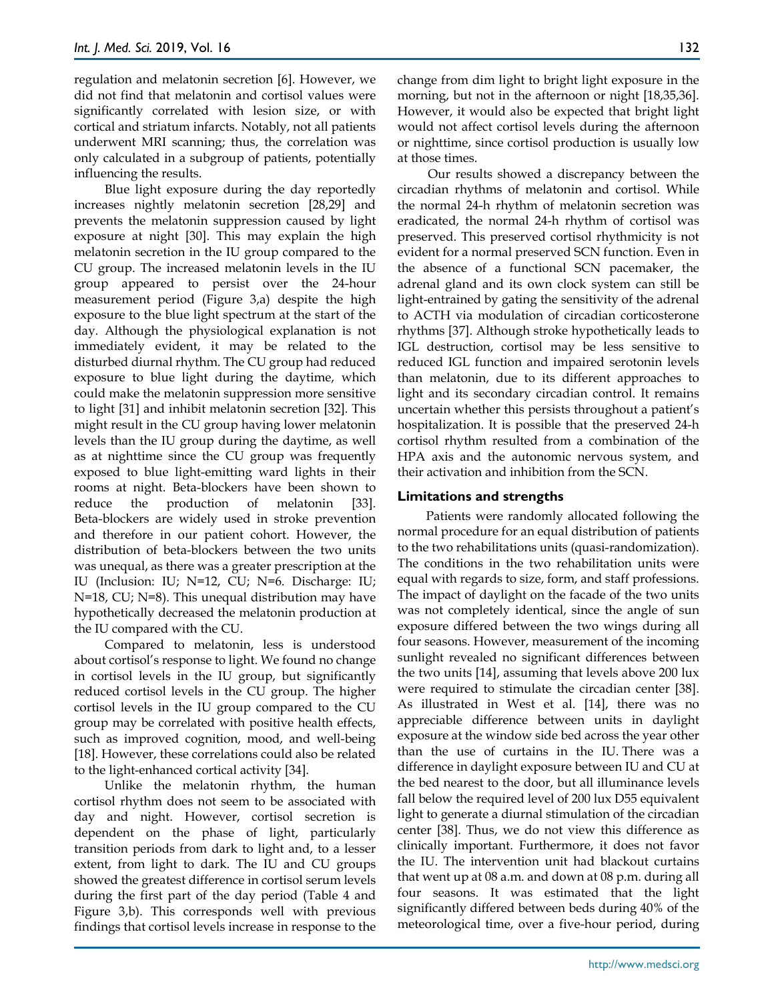regulation and melatonin secretion [6]. However, we did not find that melatonin and cortisol values were significantly correlated with lesion size, or with cortical and striatum infarcts. Notably, not all patients underwent MRI scanning; thus, the correlation was only calculated in a subgroup of patients, potentially influencing the results.

Blue light exposure during the day reportedly increases nightly melatonin secretion [28,29] and prevents the melatonin suppression caused by light exposure at night [30]. This may explain the high melatonin secretion in the IU group compared to the CU group. The increased melatonin levels in the IU group appeared to persist over the 24-hour measurement period (Figure 3,a) despite the high exposure to the blue light spectrum at the start of the day. Although the physiological explanation is not immediately evident, it may be related to the disturbed diurnal rhythm. The CU group had reduced exposure to blue light during the daytime, which could make the melatonin suppression more sensitive to light [31] and inhibit melatonin secretion [32]. This might result in the CU group having lower melatonin levels than the IU group during the daytime, as well as at nighttime since the CU group was frequently exposed to blue light-emitting ward lights in their rooms at night. Beta-blockers have been shown to reduce the production of melatonin [33]. Beta-blockers are widely used in stroke prevention and therefore in our patient cohort. However, the distribution of beta-blockers between the two units was unequal, as there was a greater prescription at the IU (Inclusion: IU; N=12, CU; N=6. Discharge: IU; N=18, CU; N=8). This unequal distribution may have hypothetically decreased the melatonin production at the IU compared with the CU.

Compared to melatonin, less is understood about cortisol's response to light. We found no change in cortisol levels in the IU group, but significantly reduced cortisol levels in the CU group. The higher cortisol levels in the IU group compared to the CU group may be correlated with positive health effects, such as improved cognition, mood, and well-being [18]. However, these correlations could also be related to the light-enhanced cortical activity [34].

Unlike the melatonin rhythm, the human cortisol rhythm does not seem to be associated with day and night. However, cortisol secretion is dependent on the phase of light, particularly transition periods from dark to light and, to a lesser extent, from light to dark. The IU and CU groups showed the greatest difference in cortisol serum levels during the first part of the day period (Table 4 and Figure 3,b). This corresponds well with previous findings that cortisol levels increase in response to the change from dim light to bright light exposure in the morning, but not in the afternoon or night [18,35,36]. However, it would also be expected that bright light would not affect cortisol levels during the afternoon or nighttime, since cortisol production is usually low at those times.

Our results showed a discrepancy between the circadian rhythms of melatonin and cortisol. While the normal 24-h rhythm of melatonin secretion was eradicated, the normal 24-h rhythm of cortisol was preserved. This preserved cortisol rhythmicity is not evident for a normal preserved SCN function. Even in the absence of a functional SCN pacemaker, the adrenal gland and its own clock system can still be light-entrained by gating the sensitivity of the adrenal to ACTH via modulation of circadian corticosterone rhythms [37]. Although stroke hypothetically leads to IGL destruction, cortisol may be less sensitive to reduced IGL function and impaired serotonin levels than melatonin, due to its different approaches to light and its secondary circadian control. It remains uncertain whether this persists throughout a patient's hospitalization. It is possible that the preserved 24-h cortisol rhythm resulted from a combination of the HPA axis and the autonomic nervous system, and their activation and inhibition from the SCN.

# **Limitations and strengths**

Patients were randomly allocated following the normal procedure for an equal distribution of patients to the two rehabilitations units (quasi-randomization). The conditions in the two rehabilitation units were equal with regards to size, form, and staff professions. The impact of daylight on the facade of the two units was not completely identical, since the angle of sun exposure differed between the two wings during all four seasons. However, measurement of the incoming sunlight revealed no significant differences between the two units [14], assuming that levels above 200 lux were required to stimulate the circadian center [38]. As illustrated in West et al. [14], there was no appreciable difference between units in daylight exposure at the window side bed across the year other than the use of curtains in the IU. There was a difference in daylight exposure between IU and CU at the bed nearest to the door, but all illuminance levels fall below the required level of 200 lux D55 equivalent light to generate a diurnal stimulation of the circadian center [38]. Thus, we do not view this difference as clinically important. Furthermore, it does not favor the IU. The intervention unit had blackout curtains that went up at 08 a.m. and down at 08 p.m. during all four seasons. It was estimated that the light significantly differed between beds during 40% of the meteorological time, over a five-hour period, during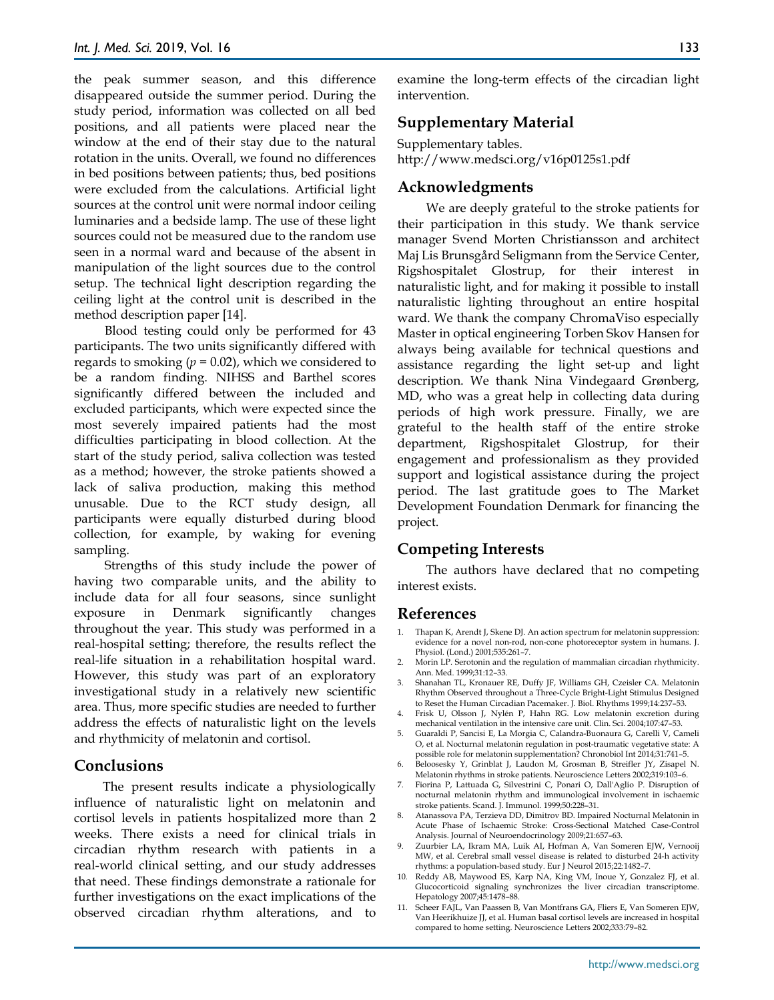the peak summer season, and this difference disappeared outside the summer period. During the study period, information was collected on all bed positions, and all patients were placed near the window at the end of their stay due to the natural rotation in the units. Overall, we found no differences in bed positions between patients; thus, bed positions were excluded from the calculations. Artificial light sources at the control unit were normal indoor ceiling luminaries and a bedside lamp. The use of these light sources could not be measured due to the random use seen in a normal ward and because of the absent in manipulation of the light sources due to the control setup. The technical light description regarding the ceiling light at the control unit is described in the method description paper [14].

Blood testing could only be performed for 43 participants. The two units significantly differed with regards to smoking  $(p = 0.02)$ , which we considered to be a random finding. NIHSS and Barthel scores significantly differed between the included and excluded participants, which were expected since the most severely impaired patients had the most difficulties participating in blood collection. At the start of the study period, saliva collection was tested as a method; however, the stroke patients showed a lack of saliva production, making this method unusable. Due to the RCT study design, all participants were equally disturbed during blood collection, for example, by waking for evening sampling.

Strengths of this study include the power of having two comparable units, and the ability to include data for all four seasons, since sunlight exposure in Denmark significantly changes throughout the year. This study was performed in a real-hospital setting; therefore, the results reflect the real-life situation in a rehabilitation hospital ward. However, this study was part of an exploratory investigational study in a relatively new scientific area. Thus, more specific studies are needed to further address the effects of naturalistic light on the levels and rhythmicity of melatonin and cortisol.

#### **Conclusions**

The present results indicate a physiologically influence of naturalistic light on melatonin and cortisol levels in patients hospitalized more than 2 weeks. There exists a need for clinical trials in circadian rhythm research with patients in a real-world clinical setting, and our study addresses that need. These findings demonstrate a rationale for further investigations on the exact implications of the observed circadian rhythm alterations, and to

examine the long-term effects of the circadian light intervention.

# **Supplementary Material**

Supplementary tables. http://www.medsci.org/v16p0125s1.pdf

# **Acknowledgments**

We are deeply grateful to the stroke patients for their participation in this study. We thank service manager Svend Morten Christiansson and architect Maj Lis Brunsgård Seligmann from the Service Center, Rigshospitalet Glostrup, for their interest in naturalistic light, and for making it possible to install naturalistic lighting throughout an entire hospital ward. We thank the company ChromaViso especially Master in optical engineering Torben Skov Hansen for always being available for technical questions and assistance regarding the light set-up and light description. We thank Nina Vindegaard Grønberg, MD, who was a great help in collecting data during periods of high work pressure. Finally, we are grateful to the health staff of the entire stroke department, Rigshospitalet Glostrup, for their engagement and professionalism as they provided support and logistical assistance during the project period. The last gratitude goes to The Market Development Foundation Denmark for financing the project.

#### **Competing Interests**

The authors have declared that no competing interest exists.

#### **References**

- 1. Thapan K, Arendt J, Skene DJ. An action spectrum for melatonin suppression: evidence for a novel non-rod, non-cone photoreceptor system in humans. J. Physiol. (Lond.) 2001;535:261–7.
- 2. Morin LP. Serotonin and the regulation of mammalian circadian rhythmicity. Ann. Med. 1999;31:12–33.
- 3. Shanahan TL, Kronauer RE, Duffy JF, Williams GH, Czeisler CA. Melatonin Rhythm Observed throughout a Three-Cycle Bright-Light Stimulus Designed to Reset the Human Circadian Pacemaker. J. Biol. Rhythms 1999;14:237–53.
- 4. Frisk U, Olsson J, Nylén P, Hahn RG. Low melatonin excretion during mechanical ventilation in the intensive care unit. Clin. Sci. 2004;107:47–53.
- 5. Guaraldi P, Sancisi E, La Morgia C, Calandra-Buonaura G, Carelli V, Cameli O, et al. Nocturnal melatonin regulation in post-traumatic vegetative state: A possible role for melatonin supplementation? Chronobiol Int 2014;31:741–5.
- 6. Beloosesky Y, Grinblat J, Laudon M, Grosman B, Streifler JY, Zisapel N. Melatonin rhythms in stroke patients. Neuroscience Letters 2002;319:103–6.
- 7. Fiorina P, Lattuada G, Silvestrini C, Ponari O, Dall'Aglio P. Disruption of nocturnal melatonin rhythm and immunological involvement in ischaemic stroke patients. Scand. J. Immunol. 1999;50:228–31.
- 8. Atanassova PA, Terzieva DD, Dimitrov BD. Impaired Nocturnal Melatonin in Acute Phase of Ischaemic Stroke: Cross-Sectional Matched Case-Control Analysis. Journal of Neuroendocrinology 2009;21:657–63.
- 9. Zuurbier LA, Ikram MA, Luik AI, Hofman A, Van Someren EJW, Vernooij MW, et al. Cerebral small vessel disease is related to disturbed 24-h activity rhythms: a population-based study. Eur J Neurol 2015;22:1482–7.
- 10. Reddy AB, Maywood ES, Karp NA, King VM, Inoue Y, Gonzalez FJ, et al. Glucocorticoid signaling synchronizes the liver circadian transcriptome. Hepatology 2007;45:1478–88.
- 11. Scheer FAJL, Van Paassen B, Van Montfrans GA, Fliers E, Van Someren EJW, Van Heerikhuize JJ, et al. Human basal cortisol levels are increased in hospital compared to home setting. Neuroscience Letters 2002;333:79–82.